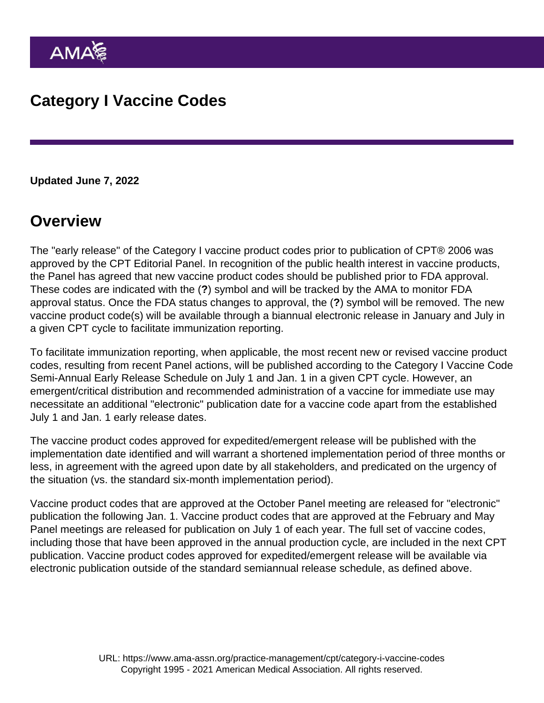Updated June 7, 2022

## **Overview**

The "early release" of the Category I vaccine product codes prior to publication of CPT® 2006 was approved by the CPT Editorial Panel. In recognition of the public health interest in vaccine products, the Panel has agreed that new vaccine product codes should be published prior to FDA approval. These codes are indicated with the (?) symbol and will be tracked by the AMA to monitor FDA approval status. Once the FDA status changes to approval, the (?) symbol will be removed. The new vaccine product code(s) will be available through a biannual electronic release in January and July in a given CPT cycle to facilitate immunization reporting.

To facilitate immunization reporting, when applicable, the most recent new or revised vaccine product codes, resulting from recent Panel actions, will be published according to the Category I Vaccine Code Semi-Annual Early Release Schedule on July 1 and Jan. 1 in a given CPT cycle. However, an emergent/critical distribution and recommended administration of a vaccine for immediate use may necessitate an additional "electronic" publication date for a vaccine code apart from the established July 1 and Jan. 1 early release dates.

The vaccine product codes approved for expedited/emergent release will be published with the implementation date identified and will warrant a shortened implementation period of three months or less, in agreement with the agreed upon date by all stakeholders, and predicated on the urgency of the situation (vs. the standard six-month implementation period).

Vaccine product codes that are approved at the October Panel meeting are released for "electronic" publication the following Jan. 1. Vaccine product codes that are approved at the February and May Panel meetings are released for publication on July 1 of each year. The full set of vaccine codes, including those that have been approved in the annual production cycle, are included in the next CPT publication. Vaccine product codes approved for expedited/emergent release will be available via electronic publication outside of the standard semiannual release schedule, as defined above.